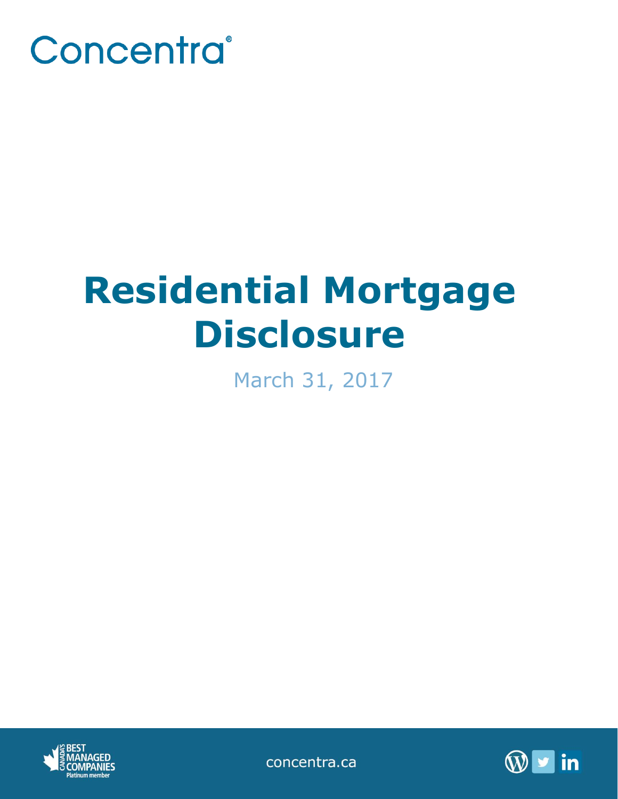

# **Residential Mortgage Disclosure**

March 31, 2017



concentra.ca

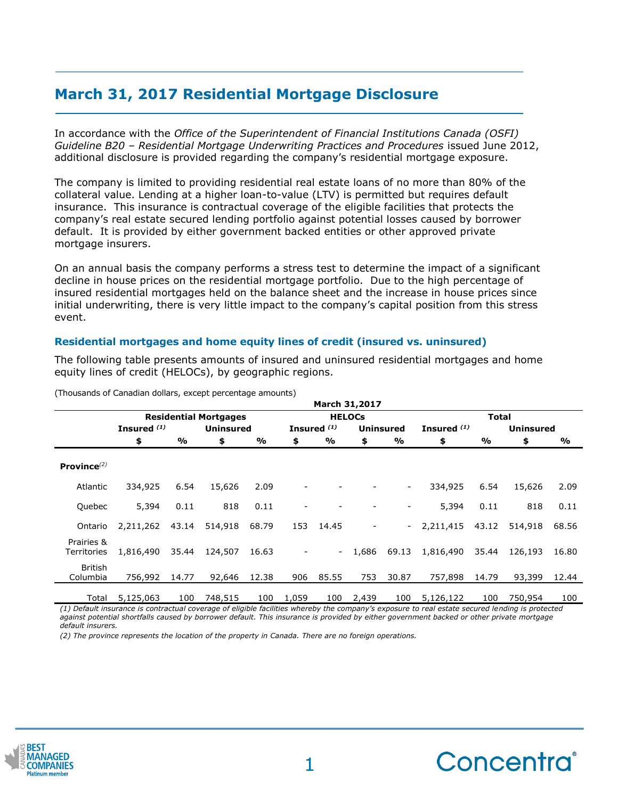## **March 31, 2017 Residential Mortgage Disclosure**

In accordance with the *Office of the Superintendent of Financial Institutions Canada (OSFI) Guideline B20 – Residential Mortgage Underwriting Practices and Procedures* issued June 2012, additional disclosure is provided regarding the company's residential mortgage exposure.

The company is limited to providing residential real estate loans of no more than 80% of the collateral value. Lending at a higher loan-to-value (LTV) is permitted but requires default insurance. This insurance is contractual coverage of the eligible facilities that protects the company's real estate secured lending portfolio against potential losses caused by borrower default. It is provided by either government backed entities or other approved private mortgage insurers.

On an annual basis the company performs a stress test to determine the impact of a significant decline in house prices on the residential mortgage portfolio. Due to the high percentage of insured residential mortgages held on the balance sheet and the increase in house prices since initial underwriting, there is very little impact to the company's capital position from this stress event.

### **Residential mortgages and home equity lines of credit (insured vs. uninsured)**

The following table presents amounts of insured and uninsured residential mortgages and home equity lines of credit (HELOCs), by geographic regions.

|                           | <b>March 31,2017</b>         |       |                  |       |                          |                        |       |                  |               |       |                  |       |
|---------------------------|------------------------------|-------|------------------|-------|--------------------------|------------------------|-------|------------------|---------------|-------|------------------|-------|
|                           | <b>Residential Mortgages</b> |       |                  |       | <b>HELOCs</b>            |                        |       |                  | <b>Total</b>  |       |                  |       |
|                           | Insured $(1)$                |       | <b>Uninsured</b> |       |                          | Insured <sup>(1)</sup> |       | <b>Uninsured</b> | Insured $(1)$ |       | <b>Uninsured</b> |       |
|                           | \$                           | %     | \$               | %     | \$                       | %                      | \$    | %                | \$            | %     | \$               | %     |
| Province $^{(2)}$         |                              |       |                  |       |                          |                        |       |                  |               |       |                  |       |
| Atlantic                  | 334,925                      | 6.54  | 15,626           | 2.09  |                          |                        |       | ۰.               | 334,925       | 6.54  | 15,626           | 2.09  |
| Quebec                    | 5,394                        | 0.11  | 818              | 0.11  | $\overline{\phantom{a}}$ |                        |       |                  | 5,394         | 0.11  | 818              | 0.11  |
| Ontario                   | 2,211,262 43.14              |       | 514,918          | 68.79 | 153                      | 14.45                  | -     | $\sim$           | 2,211,415     | 43.12 | 514,918          | 68.56 |
| Prairies &<br>Territories | 1,816,490                    | 35.44 | 124,507          | 16.63 |                          | $\equiv$               | 1,686 | 69.13            | 1,816,490     | 35.44 | 126,193          | 16.80 |
| British<br>Columbia       | 756,992                      | 14.77 | 92,646           | 12.38 | 906                      | 85.55                  | 753   | 30.87            | 757,898       | 14.79 | 93,399           | 12.44 |
| Total                     | 5,125,063                    | 100   | 748,515          | 100   | 1,059                    | 100                    | 2,439 | 100              | 5,126,122     | 100   | 750,954          | 100   |

(Thousands of Canadian dollars, except percentage amounts)

*(1) Default insurance is contractual coverage of eligible facilities whereby the company's exposure to real estate secured lending is protected against potential shortfalls caused by borrower default. This insurance is provided by either government backed or other private mortgage default insurers.*

*(2) The province represents the location of the property in Canada. There are no foreign operations.*



**\_\_\_\_\_\_\_\_\_\_\_\_\_\_\_\_\_\_\_\_\_\_\_\_\_\_\_\_\_\_\_\_\_\_\_\_\_\_\_\_\_\_\_\_**